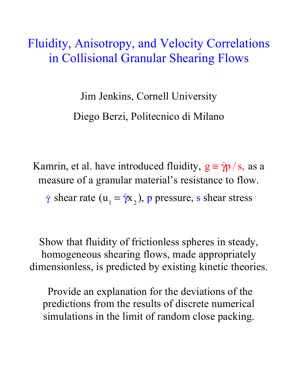# Fluidity, Anisotropy, and Velocity Correlations in Collisional Granular Shearing Flows

Jim Jenkins, Cornell University Diego Berzi, Politecnico di Milano

Kamrin, et al. have introduced fluidity,  $g = \dot{\gamma} p / s$ , as a measure of a granular material's resistance to flow.

 $\dot{\gamma}$  shear rate ( $u_1 = \dot{\gamma} x_2$ ), p pressure, s shear stress

Show that fluidity of frictionless spheres in steady, homogeneous shearing flows, made appropriately dimensionless, is predicted by existing kinetic theories.

Provide an explanation for the deviations of the predictions from the results of discrete numerical simulations in the limit of random close packing.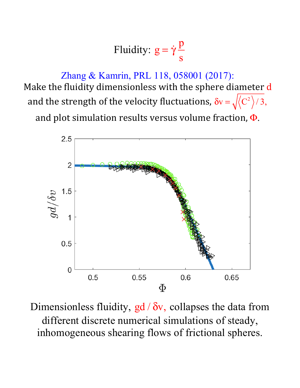$$
Fluidity: g = \dot{\gamma} \frac{p}{s}
$$

Zhang & Kamrin, PRL 118, 058001 (2017): Make the fluidity dimensionless with the sphere diameter d and the strength of the velocity fluctuations,  $\delta v = \sqrt{\langle C^2 \rangle / 3}$ , and plot simulation results versus volume fraction,  $\Phi$ .



Dimensionless fluidity,  $gd / \delta v$ , collapses the data from different discrete numerical simulations of steady, inhomogeneous shearing flows of frictional spheres.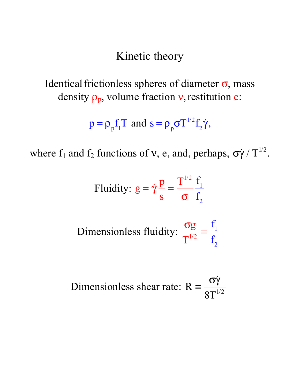# Kinetic theory

Identical frictionless spheres of diameter  $\sigma$ , mass density  $\rho_p$ , volume fraction **v**, restitution **e**:

$$
p = \rho_p f_1 T \text{ and } s = \rho_p \sigma T^{1/2} f_2 \dot{\gamma},
$$

where  $f_1$  and  $f_2$  functions of v, e, and, perhaps,  $\sigma \dot{\gamma} / T^{1/2}$ .

$$
\text{Fluidity: } \mathbf{g} = \dot{\gamma} \frac{\mathbf{p}}{\mathbf{s}} = \frac{\mathbf{T}^{1/2}}{\sigma} \frac{\mathbf{f}_1}{\mathbf{f}_2}
$$

Dimensionless fluidity: 
$$
\frac{\sigma g}{T^{1/2}} = \frac{f_1}{f_2}
$$

Dimensionless shear rate: 
$$
R = \frac{\sigma \dot{\gamma}}{8T^{1/2}}
$$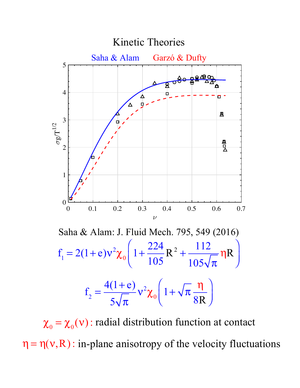

 $\chi_0 = \chi_0(v)$ : radial distribution function at contact  $\eta = \eta(v, R)$ : in-plane anisotropy of the velocity fluctuations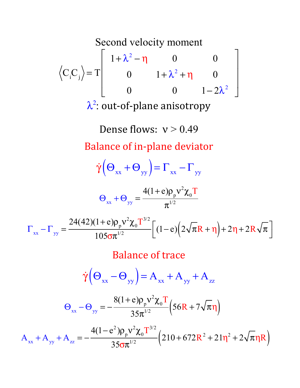Second velocity moment

$$
\langle C_i C_j \rangle = T \begin{bmatrix} 1 + \lambda^2 - \eta & 0 & 0 \\ 0 & 1 + \lambda^2 + \eta & 0 \\ 0 & 0 & 1 - 2\lambda^2 \end{bmatrix}
$$
  

$$
\lambda^2
$$
: out-of-plane anisotropy

Dense flows:  $v > 0.49$ Balance of in-plane deviator  $\dot{\gamma} \left( \Theta_{_{\rm XX}} + \Theta_{_{\rm yy}} \right) = \Gamma_{_{\rm XX}} - \Gamma_{_{\rm yy}}$  $\Theta_{xx} + \Theta_{yy} = \frac{4(1+e)\rho_{p}v^{2}\chi_{0}T}{\pi^{1/2}}$  $\boldsymbol{\pi}^{1/2}$  $\Gamma_{xx} - \Gamma_{yy} = \frac{24(42)(1+e)\rho_{p}v^{2}\chi_{0}T^{3/2}}{105\pi^{1/2}}$  $\left[ (1-e) \left( 2 \sqrt{\pi} R + \eta \right) + 2 \eta + 2 R \sqrt{\pi} \right]$ **Balance of trace** 

$$
\dot{\gamma} \left( \Theta_{xx} - \Theta_{yy} \right) = A_{xx} + A_{yy} + A_{zz}
$$

$$
\Theta_{xx} - \Theta_{yy} = -\frac{8(1+e)\rho_{p}v^{2}\chi_{0}T}{35\pi^{1/2}} \left( 56R + 7\sqrt{\pi}\eta \right)
$$

$$
A_{xx} + A_{yy} + A_{zz} = -\frac{4(1-e^{2})\rho_{p}v^{2}\chi_{0}T^{3/2}}{35\sigma\pi^{1/2}} \left( 210 + 672R^{2} + 21\eta^{2} + 2\sqrt{\pi}\eta R \right)
$$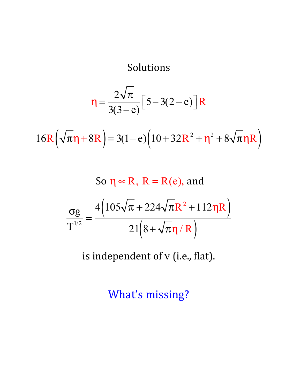## Solutions

$$
\eta = \frac{2\sqrt{\pi}}{3(3-e)} \Big[ 5 - 3(2-e) \Big] R
$$

$$
16R(\sqrt{\pi}\eta + 8R) = 3(1-e)(10+32R^{2} + \eta^{2} + 8\sqrt{\pi}\eta R)
$$

So 
$$
\eta \propto R
$$
,  $R = R(e)$ , and  
\n
$$
\frac{\sigma g}{T^{1/2}} = \frac{4(105\sqrt{\pi} + 224\sqrt{\pi}R^2 + 112\eta R)}{21(8 + \sqrt{\pi}\eta/R)}
$$

is independent of v (i.e., flat).

What's missing?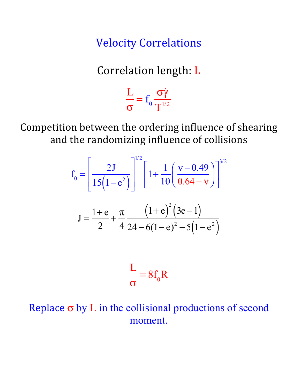**Velocity Correlations** 

Correlation length: L

L σ  $=f_0$  $\sigma \dot{\gamma}$  $\text{T}^{1/2}$ 

Competition between the ordering influence of shearing and the randomizing influence of collisions

$$
f_0 = \left[\frac{2J}{15(1-e^2)}\right]^{1/2} \left[1 + \frac{1}{10}\left(\frac{v - 0.49}{0.64 - v}\right)\right]^{3/2}
$$

$$
J = \frac{1+e}{2} + \frac{\pi}{4} \frac{\left(1+e\right)^2 (3e-1)}{24 - 6(1-e)^2 - 5(1-e^2)}
$$

$$
\frac{L}{\sigma} = 8f_0 R
$$

Replace  $\sigma$  by L in the collisional productions of second moment.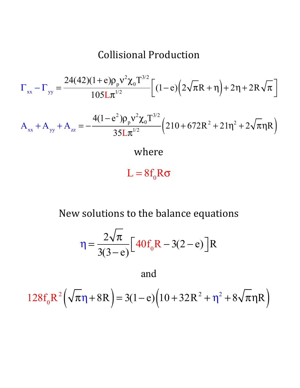# **Collisional Production**

$$
\Gamma_{xx} - \Gamma_{yy} = \frac{24(42)(1+e)\rho_{p}v^{2}\chi_{0}T^{3/2}}{105L\pi^{1/2}} \left[ (1-e)\left(2\sqrt{\pi}R + \eta\right) + 2\eta + 2R\sqrt{\pi} \right]
$$
  
\n
$$
A_{xx} + A_{yy} + A_{zz} = -\frac{4(1-e^{2})\rho_{p}v^{2}\chi_{0}T^{3/2}}{35L\pi^{1/2}} \left(210 + 672R^{2} + 21\eta^{2} + 2\sqrt{\pi}\eta R\right)
$$

where

 $L = 8f_0R\sigma$ 

New solutions to the balance equations

$$
\eta = \frac{2\sqrt{\pi}}{3(3-e)} \Big[ 40f_0R - 3(2-e) \Big]R
$$

and

$$
128f_0R^2(\sqrt{\pi}\eta + 8R) = 3(1 - e)(10 + 32R^2 + \eta^2 + 8\sqrt{\pi}\eta R)
$$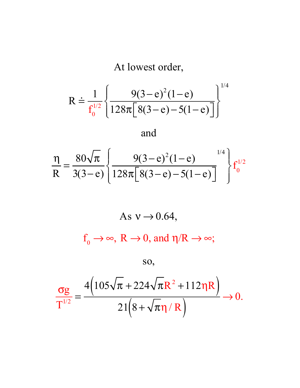At lowest order,

$$
R = \frac{1}{f_0^{1/2}} \left\{ \frac{9(3-e)^2(1-e)}{128\pi \left[8(3-e)-5(1-e)\right]} \right\}^{1/4}
$$

and

$$
\frac{\eta}{R} = \frac{80\sqrt{\pi}}{3(3-e)} \left\{ \frac{9(3-e)^2(1-e)}{128\pi \left[8(3-e)-5(1-e)\right]} \right\} f_0^{1/2}
$$

$$
\text{As } \nu \to 0.64,
$$
\n
$$
f_0 \to \infty, \ R \to 0, \text{ and } \eta/R \to \infty;
$$

$$
\mathrm{SO},
$$

$$
\frac{\sigma g}{T^{1/2}} = \frac{4(105\sqrt{\pi} + 224\sqrt{\pi}R^2 + 112\eta R)}{21(8 + \sqrt{\pi}\eta/R)} \to 0.
$$